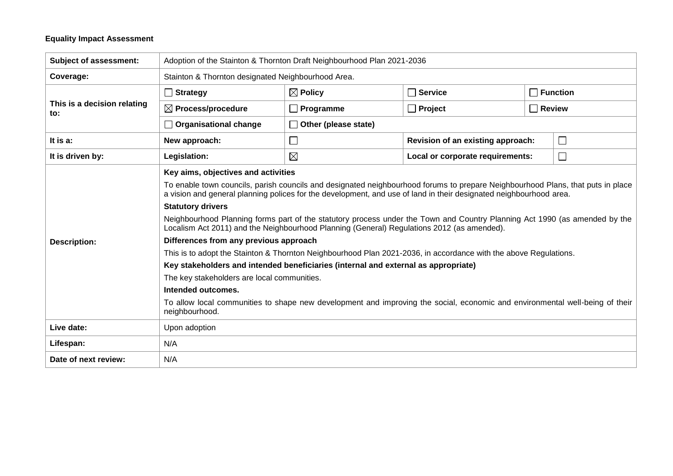## **Equality Impact Assessment**

| <b>Subject of assessment:</b>      | Adoption of the Stainton & Thornton Draft Neighbourhood Plan 2021-2036                                                                                                                                                                                                                                                                                                                                                                                                                                                                                                                                                                                                                                                                                                                                                                                                                                                                                                                                                          |                             |                                             |  |                 |  |  |
|------------------------------------|---------------------------------------------------------------------------------------------------------------------------------------------------------------------------------------------------------------------------------------------------------------------------------------------------------------------------------------------------------------------------------------------------------------------------------------------------------------------------------------------------------------------------------------------------------------------------------------------------------------------------------------------------------------------------------------------------------------------------------------------------------------------------------------------------------------------------------------------------------------------------------------------------------------------------------------------------------------------------------------------------------------------------------|-----------------------------|---------------------------------------------|--|-----------------|--|--|
| Coverage:                          | Stainton & Thornton designated Neighbourhood Area.                                                                                                                                                                                                                                                                                                                                                                                                                                                                                                                                                                                                                                                                                                                                                                                                                                                                                                                                                                              |                             |                                             |  |                 |  |  |
| This is a decision relating<br>to: | $\Box$ Strategy                                                                                                                                                                                                                                                                                                                                                                                                                                                                                                                                                                                                                                                                                                                                                                                                                                                                                                                                                                                                                 | $\boxtimes$ Policy          | $\Box$ Service                              |  | $\Box$ Function |  |  |
|                                    | $\boxtimes$ Process/procedure                                                                                                                                                                                                                                                                                                                                                                                                                                                                                                                                                                                                                                                                                                                                                                                                                                                                                                                                                                                                   | $\Box$ Programme            | $\Box$ Project<br>$\Box$ Review             |  |                 |  |  |
|                                    | $\Box$ Organisational change                                                                                                                                                                                                                                                                                                                                                                                                                                                                                                                                                                                                                                                                                                                                                                                                                                                                                                                                                                                                    | $\Box$ Other (please state) |                                             |  |                 |  |  |
| It is a:                           | New approach:                                                                                                                                                                                                                                                                                                                                                                                                                                                                                                                                                                                                                                                                                                                                                                                                                                                                                                                                                                                                                   | $\Box$                      | $\Box$<br>Revision of an existing approach: |  |                 |  |  |
| It is driven by:                   | Legislation:                                                                                                                                                                                                                                                                                                                                                                                                                                                                                                                                                                                                                                                                                                                                                                                                                                                                                                                                                                                                                    | $\boxtimes$                 | $\Box$<br>Local or corporate requirements:  |  |                 |  |  |
| <b>Description:</b>                | Key aims, objectives and activities<br>To enable town councils, parish councils and designated neighbourhood forums to prepare Neighbourhood Plans, that puts in place<br>a vision and general planning polices for the development, and use of land in their designated neighbourhood area.<br><b>Statutory drivers</b><br>Neighbourhood Planning forms part of the statutory process under the Town and Country Planning Act 1990 (as amended by the<br>Localism Act 2011) and the Neighbourhood Planning (General) Regulations 2012 (as amended).<br>Differences from any previous approach<br>This is to adopt the Stainton & Thornton Neighbourhood Plan 2021-2036, in accordance with the above Regulations.<br>Key stakeholders and intended beneficiaries (internal and external as appropriate)<br>The key stakeholders are local communities.<br>Intended outcomes.<br>To allow local communities to shape new development and improving the social, economic and environmental well-being of their<br>neighbourhood. |                             |                                             |  |                 |  |  |
| Live date:                         | Upon adoption                                                                                                                                                                                                                                                                                                                                                                                                                                                                                                                                                                                                                                                                                                                                                                                                                                                                                                                                                                                                                   |                             |                                             |  |                 |  |  |
| Lifespan:                          | N/A                                                                                                                                                                                                                                                                                                                                                                                                                                                                                                                                                                                                                                                                                                                                                                                                                                                                                                                                                                                                                             |                             |                                             |  |                 |  |  |
| Date of next review:               | N/A                                                                                                                                                                                                                                                                                                                                                                                                                                                                                                                                                                                                                                                                                                                                                                                                                                                                                                                                                                                                                             |                             |                                             |  |                 |  |  |